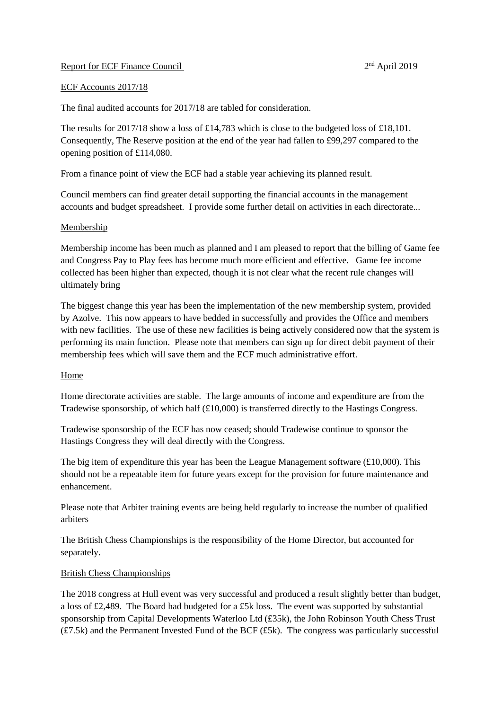### Report for ECF Finance Council

 $2<sup>nd</sup>$  April 2019

### ECF Accounts 2017/18

The final audited accounts for 2017/18 are tabled for consideration.

The results for 2017/18 show a loss of £14,783 which is close to the budgeted loss of £18,101. Consequently, The Reserve position at the end of the year had fallen to £99,297 compared to the opening position of £114,080.

From a finance point of view the ECF had a stable year achieving its planned result.

Council members can find greater detail supporting the financial accounts in the management accounts and budget spreadsheet. I provide some further detail on activities in each directorate...

## Membership

Membership income has been much as planned and I am pleased to report that the billing of Game fee and Congress Pay to Play fees has become much more efficient and effective. Game fee income collected has been higher than expected, though it is not clear what the recent rule changes will ultimately bring

The biggest change this year has been the implementation of the new membership system, provided by Azolve. This now appears to have bedded in successfully and provides the Office and members with new facilities. The use of these new facilities is being actively considered now that the system is performing its main function. Please note that members can sign up for direct debit payment of their membership fees which will save them and the ECF much administrative effort.

### Home

Home directorate activities are stable. The large amounts of income and expenditure are from the Tradewise sponsorship, of which half (£10,000) is transferred directly to the Hastings Congress.

Tradewise sponsorship of the ECF has now ceased; should Tradewise continue to sponsor the Hastings Congress they will deal directly with the Congress.

The big item of expenditure this year has been the League Management software (£10,000). This should not be a repeatable item for future years except for the provision for future maintenance and enhancement.

Please note that Arbiter training events are being held regularly to increase the number of qualified arbiters

The British Chess Championships is the responsibility of the Home Director, but accounted for separately.

### British Chess Championships

The 2018 congress at Hull event was very successful and produced a result slightly better than budget, a loss of £2,489. The Board had budgeted for a £5k loss. The event was supported by substantial sponsorship from Capital Developments Waterloo Ltd (£35k), the John Robinson Youth Chess Trust  $(E7.5k)$  and the Permanent Invested Fund of the BCF  $(E5k)$ . The congress was particularly successful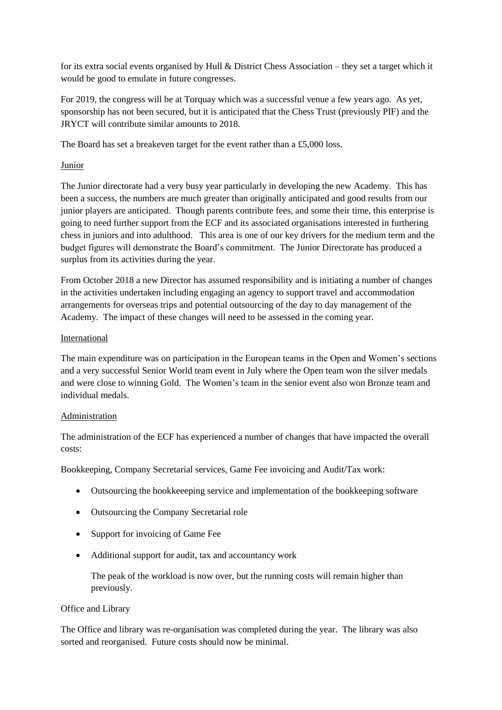for its extra social events organised by Hull & District Chess Association – they set a target which it would be good to emulate in future congresses.

For 2019, the congress will be at Torquay which was a successful venue a few years ago. As yet, sponsorship has not been secured, but it is anticipated that the Chess Trust (previously PIF) and the JRYCT will contribute similar amounts to 2018.

The Board has set a breakeven target for the event rather than a £5,000 loss.

# Junior

The Junior directorate had a very busy year particularly in developing the new Academy. This has been a success, the numbers are much greater than originally anticipated and good results from our junior players are anticipated. Though parents contribute fees, and some their time, this enterprise is going to need further support from the ECF and its associated organisations interested in furthering chess in juniors and into adulthood. This area is one of our key drivers for the medium term and the budget figures will demonstrate the Board's commitment. The Junior Directorate has produced a surplus from its activities during the year.

From October 2018 a new Director has assumed responsibility and is initiating a number of changes in the activities undertaken including engaging an agency to support travel and accommodation arrangements for overseas trips and potential outsourcing of the day to day management of the Academy. The impact of these changes will need to be assessed in the coming year.

## International

The main expenditure was on participation in the European teams in the Open and Women's sections and a very successful Senior World team event in July where the Open team won the silver medals and were close to winning Gold. The Women's team in the senior event also won Bronze team and individual medals.

## Administration

The administration of the ECF has experienced a number of changes that have impacted the overall costs:

Bookkeeping, Company Secretarial services, Game Fee invoicing and Audit/Tax work:

- Outsourcing the bookkeeeping service and implementation of the bookkeeping software
- Outsourcing the Company Secretarial role
- Support for invoicing of Game Fee
- Additional support for audit, tax and accountancy work

The peak of the workload is now over, but the running costs will remain higher than previously.

## Office and Library

The Office and library was re-organisation was completed during the year. The library was also sorted and reorganised. Future costs should now be minimal.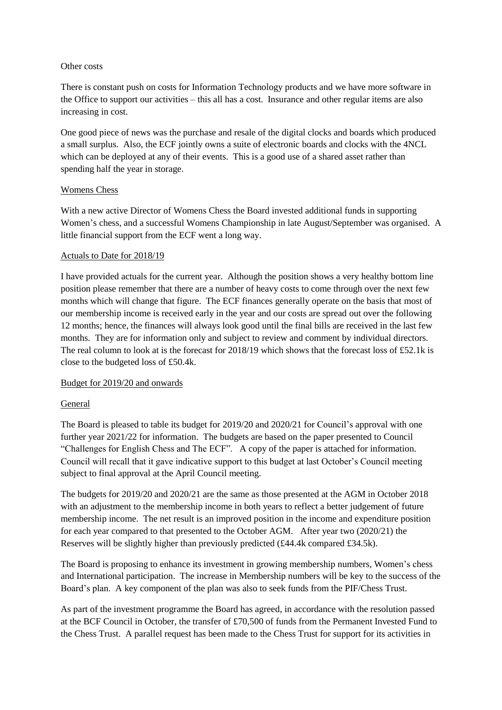## Other costs

There is constant push on costs for Information Technology products and we have more software in the Office to support our activities – this all has a cost. Insurance and other regular items are also increasing in cost.

One good piece of news was the purchase and resale of the digital clocks and boards which produced a small surplus. Also, the ECF jointly owns a suite of electronic boards and clocks with the 4NCL which can be deployed at any of their events. This is a good use of a shared asset rather than spending half the year in storage.

## Womens Chess

With a new active Director of Womens Chess the Board invested additional funds in supporting Women's chess, and a successful Womens Championship in late August/September was organised. A little financial support from the ECF went a long way.

## Actuals to Date for 2018/19

I have provided actuals for the current year. Although the position shows a very healthy bottom line position please remember that there are a number of heavy costs to come through over the next few months which will change that figure. The ECF finances generally operate on the basis that most of our membership income is received early in the year and our costs are spread out over the following 12 months; hence, the finances will always look good until the final bills are received in the last few months. They are for information only and subject to review and comment by individual directors. The real column to look at is the forecast for 2018/19 which shows that the forecast loss of £52.1k is close to the budgeted loss of £50.4k.

## Budget for 2019/20 and onwards

## General

The Board is pleased to table its budget for 2019/20 and 2020/21 for Council's approval with one further year 2021/22 for information. The budgets are based on the paper presented to Council "Challenges for English Chess and The ECF". A copy of the paper is attached for information. Council will recall that it gave indicative support to this budget at last October's Council meeting subject to final approval at the April Council meeting.

The budgets for 2019/20 and 2020/21 are the same as those presented at the AGM in October 2018 with an adjustment to the membership income in both years to reflect a better judgement of future membership income. The net result is an improved position in the income and expenditure position for each year compared to that presented to the October AGM. After year two (2020/21) the Reserves will be slightly higher than previously predicted (£44.4k compared £34.5k).

The Board is proposing to enhance its investment in growing membership numbers, Women's chess and International participation. The increase in Membership numbers will be key to the success of the Board's plan. A key component of the plan was also to seek funds from the PIF/Chess Trust.

As part of the investment programme the Board has agreed, in accordance with the resolution passed at the BCF Council in October, the transfer of £70,500 of funds from the Permanent Invested Fund to the Chess Trust. A parallel request has been made to the Chess Trust for support for its activities in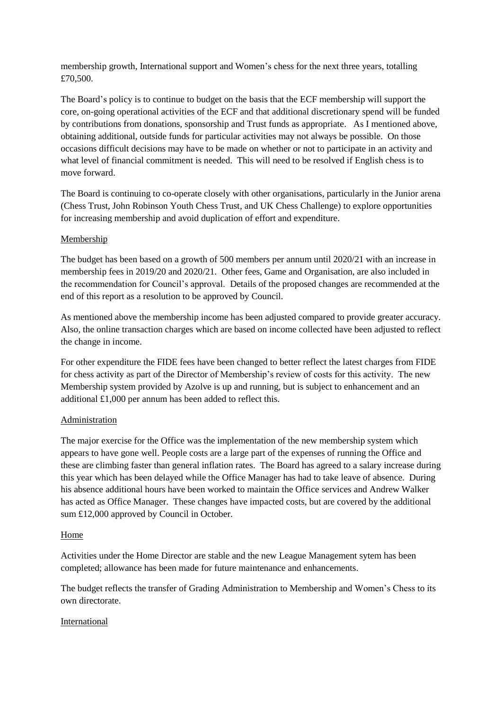membership growth, International support and Women's chess for the next three years, totalling £70,500.

The Board's policy is to continue to budget on the basis that the ECF membership will support the core, on-going operational activities of the ECF and that additional discretionary spend will be funded by contributions from donations, sponsorship and Trust funds as appropriate. As I mentioned above, obtaining additional, outside funds for particular activities may not always be possible. On those occasions difficult decisions may have to be made on whether or not to participate in an activity and what level of financial commitment is needed. This will need to be resolved if English chess is to move forward.

The Board is continuing to co-operate closely with other organisations, particularly in the Junior arena (Chess Trust, John Robinson Youth Chess Trust, and UK Chess Challenge) to explore opportunities for increasing membership and avoid duplication of effort and expenditure.

## Membership

The budget has been based on a growth of 500 members per annum until 2020/21 with an increase in membership fees in 2019/20 and 2020/21. Other fees, Game and Organisation, are also included in the recommendation for Council's approval. Details of the proposed changes are recommended at the end of this report as a resolution to be approved by Council.

As mentioned above the membership income has been adjusted compared to provide greater accuracy. Also, the online transaction charges which are based on income collected have been adjusted to reflect the change in income.

For other expenditure the FIDE fees have been changed to better reflect the latest charges from FIDE for chess activity as part of the Director of Membership's review of costs for this activity. The new Membership system provided by Azolve is up and running, but is subject to enhancement and an additional £1,000 per annum has been added to reflect this.

### Administration

The major exercise for the Office was the implementation of the new membership system which appears to have gone well. People costs are a large part of the expenses of running the Office and these are climbing faster than general inflation rates. The Board has agreed to a salary increase during this year which has been delayed while the Office Manager has had to take leave of absence. During his absence additional hours have been worked to maintain the Office services and Andrew Walker has acted as Office Manager. These changes have impacted costs, but are covered by the additional sum £12,000 approved by Council in October.

### Home

Activities under the Home Director are stable and the new League Management sytem has been completed; allowance has been made for future maintenance and enhancements.

The budget reflects the transfer of Grading Administration to Membership and Women's Chess to its own directorate.

### International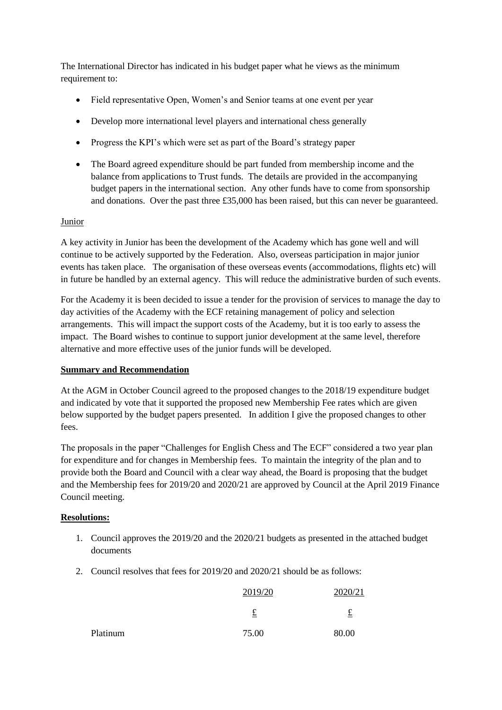The International Director has indicated in his budget paper what he views as the minimum requirement to:

- Field representative Open, Women's and Senior teams at one event per year
- Develop more international level players and international chess generally
- Progress the KPI's which were set as part of the Board's strategy paper
- The Board agreed expenditure should be part funded from membership income and the balance from applications to Trust funds. The details are provided in the accompanying budget papers in the international section. Any other funds have to come from sponsorship and donations. Over the past three £35,000 has been raised, but this can never be guaranteed.

## Junior

A key activity in Junior has been the development of the Academy which has gone well and will continue to be actively supported by the Federation. Also, overseas participation in major junior events has taken place. The organisation of these overseas events (accommodations, flights etc) will in future be handled by an external agency. This will reduce the administrative burden of such events.

For the Academy it is been decided to issue a tender for the provision of services to manage the day to day activities of the Academy with the ECF retaining management of policy and selection arrangements. This will impact the support costs of the Academy, but it is too early to assess the impact. The Board wishes to continue to support junior development at the same level, therefore alternative and more effective uses of the junior funds will be developed.

### **Summary and Recommendation**

At the AGM in October Council agreed to the proposed changes to the 2018/19 expenditure budget and indicated by vote that it supported the proposed new Membership Fee rates which are given below supported by the budget papers presented. In addition I give the proposed changes to other fees.

The proposals in the paper "Challenges for English Chess and The ECF" considered a two year plan for expenditure and for changes in Membership fees. To maintain the integrity of the plan and to provide both the Board and Council with a clear way ahead, the Board is proposing that the budget and the Membership fees for 2019/20 and 2020/21 are approved by Council at the April 2019 Finance Council meeting.

## **Resolutions:**

- 1. Council approves the 2019/20 and the 2020/21 budgets as presented in the attached budget documents
- 2. Council resolves that fees for 2019/20 and 2020/21 should be as follows:

|          | 2019/20  | 2020/21 |
|----------|----------|---------|
|          | <u>土</u> | t       |
| Platinum | 75.00    | 80.00   |